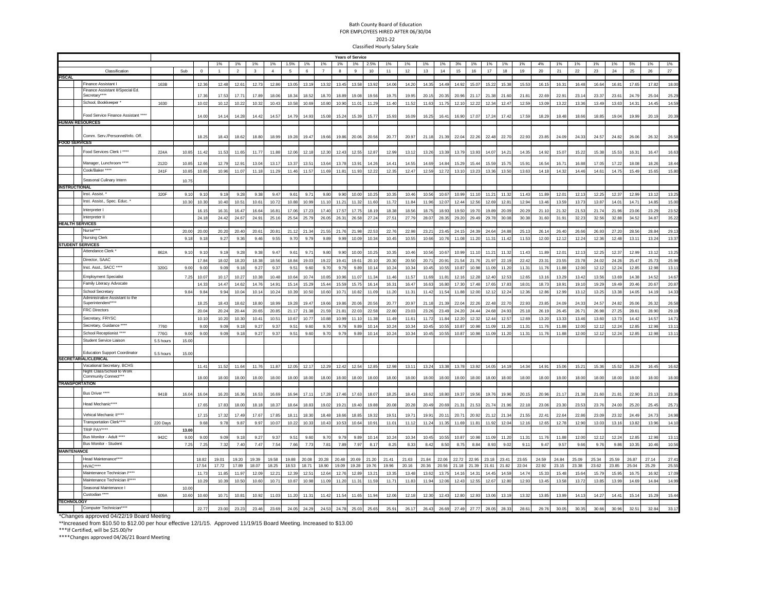## Bath County Board of Education FOR EMPLOYEES HIRED AFTER 06/30/04 2021-22 Classified Hourly Salary Scale

|                    |                                                                                                                       | <b>Years of Service</b> |       |          |                |                |              |                   |                |                |                |       |              |                 |                |       |       |                   |       |       |       |       |       |       |       |                |       |       |       |       |       |
|--------------------|-----------------------------------------------------------------------------------------------------------------------|-------------------------|-------|----------|----------------|----------------|--------------|-------------------|----------------|----------------|----------------|-------|--------------|-----------------|----------------|-------|-------|-------------------|-------|-------|-------|-------|-------|-------|-------|----------------|-------|-------|-------|-------|-------|
|                    |                                                                                                                       |                         |       |          | 1%             | 1%             | 1%           | 1%                | 1.5%           | 1%             | 1%             | 1%    | 1%           | 2.5%            | 1%             | 1%    | 1%    | 1%                | 3%    | 1%    | 1%    | 1%    | 1%    | 4%    | 1%    | 1%             | 1%    | 1%    | 5%    | 1%    | 1%    |
|                    | Classification                                                                                                        |                         | Sub   | $\Omega$ | $\overline{1}$ | $\overline{2}$ | $\mathbf{3}$ | $\overline{4}$    | 5 <sup>1</sup> | 6 <sup>1</sup> | $\overline{7}$ | 8     | $\mathbf{Q}$ | 10 <sup>1</sup> | 11             | 12    | 13    | 14                | 15    | 16    | 17    | 18    | 19    | 20    | 21    | 22             | 23    | 24    | 25    | 26    | 27    |
| <b>FISCAL</b>      | Finance Assistant I                                                                                                   |                         |       |          |                |                |              |                   |                |                |                |       |              |                 |                |       |       |                   |       |       |       |       |       |       |       |                |       |       |       |       |       |
|                    | Finance Assistant II/Special Ed.                                                                                      | 163B                    |       | 12.3     | 12.48          | 12.61          | 12.73        | 12.86             | 13.05          | 13.19          | 13.32          | 13.45 | 13.58        | 13.92           | 14.06          | 14.20 | 14.35 | 14.49             | 14.92 | 15.07 | 15.2  | 15.38 | 15.53 | 16.15 | 16.31 | 16.48          | 16.64 | 16.81 | 17.65 | 17.82 | 18.00 |
|                    | Secretary***                                                                                                          |                         |       | 17.3     | 17.53          | 17.7           | 17.89        | 18.06             | 18.34          | 18.52          | 18.70          | 18.89 | 19.08        | 19.56           | 19.7           | 19.95 | 20.15 | 20.35             | 20.96 | 21.17 | 21.3  | 21.60 | 21.81 | 22.69 | 22.9  | 23.1           | 23.37 | 23.61 | 24.79 | 25.0  | 25.29 |
|                    | School, Bookkeeper                                                                                                    | 1630                    |       | 10.02    | 10.12          | 10.22          | 10.32        | 10.43             | 10.58          | 10.69          | 10.80          | 10.90 | 11.01        | 11.29           | 11.40          | 11.52 | 11.63 | 11.75             | 12.10 | 12.22 | 12.34 | 12.47 | 12.59 | 13.09 | 13.22 | 13.36          | 13.49 | 13.63 | 14.31 | 14.45 | 14.59 |
|                    | Food Service Finance Assistant ***                                                                                    |                         |       |          |                |                |              |                   |                |                |                |       |              |                 |                |       |       |                   |       |       |       |       |       |       |       |                |       |       |       |       |       |
|                    | <b>HUMAN RESOURCES</b>                                                                                                |                         |       | 14.00    | 14.14          | 14.28          | 14.42        | 14.57             | 14.79          | 14.93          | 15.08          | 15.24 | 15.39        | 15.77           | 15.93          | 16.09 | 16.25 | 16.41             | 16.90 | 17.07 | 17.24 | 17.42 | 17.59 | 18.29 | 18.48 | 18.66          | 18.85 | 19.04 | 19.99 | 20.1  | 20.39 |
|                    |                                                                                                                       |                         |       |          |                |                |              |                   |                |                |                |       |              |                 |                |       |       |                   |       |       |       |       |       |       |       |                |       |       |       |       |       |
|                    | Comm. Serv./Personnel/Info. Off                                                                                       |                         |       | 18.25    | 18.43          | 18.62          | 18.80        | 18.99             | 19.28          | 19.47          | 19.66          | 19.86 | 20.06        | 20.56           | 20.77          | 20.97 | 21.18 | 21.39             | 22.04 | 22.26 | 22.48 | 22.70 | 22.93 | 23.85 | 24.09 | 24.33          | 24.57 | 24.82 | 26.06 | 26.32 | 26.58 |
|                    | <b>FOOD SERVICES</b>                                                                                                  |                         |       |          |                |                |              |                   |                |                |                |       |              |                 |                |       |       |                   |       |       |       |       |       |       |       |                |       |       |       |       |       |
|                    | Food Services Clerk I ****                                                                                            |                         |       |          |                |                |              |                   |                |                |                |       |              |                 |                |       |       |                   |       |       |       |       |       |       |       |                |       |       |       |       |       |
|                    |                                                                                                                       | 224A                    | 10.85 | 11.42    | 11.53          | 11.65          | 11.77        | 11.88             | 12.06          | 12.18          | 12.30          | 12.43 | 12.55        | 12.87           | 12.9           | 13.12 | 13.26 | 13.39             | 13.79 | 13.9  | 14.07 | 14.2  | 14.35 | 14.92 | 15.07 | 15.22          | 15.38 | 15.53 | 16.31 | 16.47 | 16.63 |
|                    | Manager, Lunchroom ****                                                                                               | 212D                    | 10.85 | 12.6     | 12.79          | 12.9'          | 13.04        | 13.17             | 13.37          | 13.51          | 13.64          | 13.78 | 13.9         | 14.26           | $14.4^{\circ}$ | 14.55 | 14.69 | 14.8 <sup>°</sup> | 15.29 | 15.44 | 15.59 | 15.75 | 15.91 | 16.54 | 16.7' | 16.88          | 17.05 | 17.22 | 18.08 | 18.26 | 18.44 |
|                    | Cook/Baker ****                                                                                                       | 241F                    | 10.85 | 10.8     | 10.96          | 11.07          | 11.18        | 11.29             | 11.46          | 11.57          | 11.69          | 11.81 | 11.93        | 12.22           | 12.35          | 12.47 | 12.59 | 12.72             | 13.10 | 13.23 | 13.36 | 13.50 | 13.63 | 14.18 | 14.32 | 14.46          | 14.61 | 14.75 | 15.49 | 15.65 | 15.80 |
|                    | Seasonal Culinary Intern                                                                                              |                         | 10.75 |          |                |                |              |                   |                |                |                |       |              |                 |                |       |       |                   |       |       |       |       |       |       |       |                |       |       |       |       |       |
|                    | <b>INSTRUCTIONAL</b>                                                                                                  |                         |       |          |                |                |              |                   |                |                |                |       |              |                 |                |       |       |                   |       |       |       |       |       |       |       |                |       |       |       |       |       |
|                    | Inst. Assist                                                                                                          | 320F                    | 9.10  | 9.10     | 9.19           | 9.28           | 9.38         | 9.47              | 9.61           | 9.71           | 9.80           | 9.90  | 10.00        | 10.25           | 10.35          | 10.46 | 10.56 | 10.67             | 10.99 | 11.10 | 11.21 | 11.32 | 11.43 | 11.89 | 12.01 | 12.13          | 12.25 | 12.37 | 12.99 | 13.12 | 13.25 |
|                    | Inst. Assist., Spec. Educ. *                                                                                          |                         | 10.30 | 10.30    | 10.40          | 10.51          | 10.61        | 10.72             | 10.88          | 10.99          | 11.10          | 11.21 | 11.32        | 11.60           | 11.72          | 11.84 | 11.96 | 12.07             | 12.44 | 12.56 | 12.69 | 12.81 | 12.94 | 13.46 | 13.59 | 13.73          | 13.87 | 14.01 | 14.71 | 14.85 | 15.00 |
|                    | Interpreter                                                                                                           |                         |       | 16.15    | 16.31          | 16.47          | 16.64        | 16.81             | 17.06          | 17.23          | 17.40          | 17.57 | 17.75        | 18.19           | 18.38          | 18.56 | 18.75 | 18.93             | 19.50 | 19.70 | 19.89 | 20.09 | 20.29 | 21.10 | 21.32 | 21.53          | 21.74 | 21.96 | 23.06 | 23.29 | 23.52 |
|                    | Interpreter II                                                                                                        |                         |       | 24.18    | 24.42          | 24.67          | 24.91        | 25.16             | 25.54          | 25.79          | 26.05          | 26.31 | 26.58        | 27.24           | 27.51          | 27.79 | 28.07 | 28.35             | 29.20 | 29.49 | 29.7  | 30.08 | 30.38 | 31.60 | 31.9' | 32.23          | 32.56 | 32.88 | 34.52 | 34.87 | 35.22 |
|                    | <b>HEALTH SERVICES</b>                                                                                                |                         |       |          |                |                |              |                   |                |                |                |       |              |                 |                |       |       |                   |       |       |       |       |       |       |       |                |       |       |       |       |       |
|                    | Nurse <sup>®</sup>                                                                                                    |                         | 20.0  | 20.0     | 20.20          | 20.40          | 20.61        | 20.81             | 21.1           | 21.34          | 21.55          | 21.76 | 21.98        | 22.53           | 22.76          | 22.98 | 23.2  | 23.45             | 24.15 | 24.3  | 24.6  | 24.8  | 25.1  | 26.14 | 26.4  | 26.6           | 26.93 | 27.20 | 28.56 | 28.8  | 29.1  |
|                    | <b>Nursing Clerk</b>                                                                                                  |                         | 9.18  | 9.16     | 9.27           | 9.36           | 9.46         | 9.55              | 9.70           | 9.79           | 9.89           | 9.99  | 10.09        | 10.34           | 10.45          | 10.55 | 10.66 | 10.76             | 11.08 | 11.20 | 11.31 | 11.42 | 11.53 | 12.00 | 12.12 | 12.24          | 12.36 | 12.48 | 13.11 | 13.24 | 13.37 |
|                    | <b>STUDENT SERVICES</b>                                                                                               |                         |       |          |                |                |              |                   |                |                |                |       |              |                 |                |       |       |                   |       |       |       |       |       |       |       |                |       |       |       |       |       |
|                    | Attendance Clerk                                                                                                      | 862A                    | 9.10  | 9.10     | 9.19           | 9.28           | 9.38         | 9.47              | 9.61           | 9.71           | 9.80           | 9.90  | 10.00        | 10.25           | 10.35          | 10.46 | 10.56 | 10.67             | 10.99 | 11.10 | 11.21 | 11.32 | 11.43 | 11.89 | 12.01 | 12.13          | 12.25 | 12.37 | 12.99 | 13.12 | 13.25 |
|                    | Director, SAAC                                                                                                        |                         |       | 17.84    | 18.02          | 18.20          | 18.38        | 18.56             | 18.84          | 19.03          | 19.22          | 19.41 | 19.61        | 20.10           | 20.30          | 20.50 | 20.7  | 20.91             | 21.54 | 21.76 | 21.9  | 22.1! | 22.42 | 23.31 | 23.55 | 23.78          | 24.02 | 24.26 | 25.47 | 25.73 | 25.98 |
|                    | Inst. Asst., SACC ****                                                                                                | 320G                    | 9.00  | 9.00     | 9.09           | 9.18           | 9.27         | 9.37              | 9.51           | 9.60           | 9.70           | 9.79  | 9.89         | 10.14           | 10.24          | 10.34 | 10.45 | 10.55             | 10.87 | 10.98 | 11.09 | 11.20 | 11.31 | 11.76 | 11.88 | 12.00          | 12.12 | 12.24 | 12.85 | 12.98 | 13.1  |
|                    | <b>Employment Specialist</b>                                                                                          |                         | 7.25  | 10.0     | 10.17          | 10.27          | 10.38        | 10.48             | 10.64          | 10.74          | 10.85          | 10.96 | 11.07        | 11.34           | 11.46          | 11.57 | 11.69 | 11.81             | 12.16 | 12.28 | 12.4  | 12.53 | 12.65 | 13.16 | 13.29 | 13.42          | 13.56 | 13.69 | 14.38 | 14.52 | 14.67 |
|                    | Family Literacy Advocate                                                                                              |                         |       | 14.3     | 14.47          | 14.62          | 14.76        | 14.91             | 15.14          | 15.29          | 15.44          | 15.59 | 15.75        | 16.14           | 16.31          | 16.47 | 16.63 | 16.80             | 17.30 | 17.48 | 17.65 | 17.83 | 18.01 | 18.73 | 18.9' | 19.10          | 19.29 | 19.49 | 20.46 | 20.67 | 20.87 |
|                    | School Secretary                                                                                                      |                         | 9.84  | 9.84     | 9.94           | 10.04          | 10.14        | 10.24             | 10.39          | 10.50          | 10.60          | 10.71 | 10.82        | 11.09           | 11.20          | 11.31 | 11.42 | 11.54             | 11.88 | 12.00 | 12.12 | 12.24 | 12.36 | 12.86 | 12.99 | 13.12          | 13.25 | 13.38 | 14.05 | 14.19 | 14.33 |
|                    | Administrative Assistant to the                                                                                       |                         |       |          |                |                |              |                   |                |                |                |       |              |                 |                |       |       |                   |       |       |       |       |       |       |       |                |       |       |       |       |       |
|                    | Superintendent****                                                                                                    |                         |       | 18.2     | 18.43          | 18.62          | 18.80        | 18.99             | 19.28          | 19.47          | 19.66          | 19.86 | 20.06        | 20.56           | 20.77          | 20.97 | 21.18 | 21.39             | 22.04 | 22.26 | 22.4  | 22.70 | 22.93 | 23.85 | 24.09 | 24.33          | 24.57 | 24.82 | 26.06 | 26.32 | 26.58 |
|                    | FRC Directors                                                                                                         |                         |       | 20.04    | 20.24          | 20.44          | 20.65        | 20.85             | 21.17          | 21.38          | 21.59          | 21.81 | 22.03        | 22.58           | 22.80          | 23.03 | 23.26 | 23.49             | 24.20 | 24.44 | 24.68 | 24.93 | 25.18 | 26.19 | 26.45 | $26.7^{\circ}$ | 26.98 | 27.25 | 28.61 | 28.90 | 29.19 |
|                    | Secretary, FRYSC                                                                                                      |                         |       | 10.11    | 10.20          | 10.3           | 10.4         | 10.5 <sup>4</sup> | 10.67          | 10.77          | 10.88          | 10.99 | 11.1         | 11.38           | 11.49          | 11.61 | 11.72 | 11.84             | 12.20 | 12.32 | 12.4  | 12.5  | 12.69 | 13.20 | 13.33 | 13.4           | 13.60 | 13.73 | 14.42 | 14.57 | 14.7  |
|                    | Secretary, Guidance                                                                                                   | 7760                    |       | 9.00     | 9.09           | 9.1            | 9.2          | 9.37              | 9.5            | 9.60           | 9.70           | 9.7   | 9.89         | 10.1            | 10.24          | 10.34 | 10.45 | 10.5              | 10.87 | 10.98 | 11.09 | 11.2  | 11.3  | 11.76 | 11.8  | 12.0           | 12.12 | 12.24 | 12.85 | 12.9  | 13.1  |
|                    | School Receptionist ****                                                                                              | 776G                    | 9.00  | 9.00     | 9.09           | 9.18           | 9.27         | 9.37              | 9.51           | 9.60           | 9.70           | 9.79  | 9.89         | 10.14           | 10.24          | 10.34 | 10.45 | 10.55             | 10.87 | 10.98 | 11.09 | 11.20 | 11.31 | 11.76 | 11.88 | 12.00          | 12.12 | 12.24 | 12.85 | 12.98 | 13.11 |
|                    | <b>Student Service Liaison</b>                                                                                        | 5.5 hours               | 15.00 |          |                |                |              |                   |                |                |                |       |              |                 |                |       |       |                   |       |       |       |       |       |       |       |                |       |       |       |       |       |
|                    | <b>Education Support Coordinator</b>                                                                                  |                         |       |          |                |                |              |                   |                |                |                |       |              |                 |                |       |       |                   |       |       |       |       |       |       |       |                |       |       |       |       |       |
|                    | <b>SECRETARIAL/CLERICAL</b>                                                                                           | 5.5 hours               | 15.00 |          |                |                |              |                   |                |                |                |       |              |                 |                |       |       |                   |       |       |       |       |       |       |       |                |       |       |       |       |       |
|                    | Vocational Secretary, BCHS                                                                                            |                         |       | 11.41    | 11.52          | 11.64          | 11.76        | 11.87             | 12.05          | 12.17          | 12.29          | 12.42 | 12.54        | 12.85           | 12.98          | 13.11 | 13.24 | 13.38             | 13.78 | 13.92 | 14.05 | 14.19 | 14.34 | 14.91 | 15.06 | 15.21          | 15.36 | 15.52 | 16.29 | 16.45 | 16.62 |
|                    | Night Class/School to Work                                                                                            |                         |       |          |                |                |              |                   |                |                |                |       |              |                 |                |       |       |                   |       |       |       |       |       |       |       |                |       |       |       |       |       |
|                    | Community Connect*'                                                                                                   |                         |       | 18.00    | 18.00          | 18.00          | 18.00        | 18.00             | 18.00          | 18.00          | 18.00          | 18.00 | 18.00        | 18.00           | 18.00          | 18.0  | 18.00 | 18.00             | 18.00 | 18.00 | 18.00 | 18.00 | 18.0  | 18.00 | 18.00 | 18.00          | 18.00 | 18.00 | 18.00 | 18.00 | 18.0  |
|                    | <b>TRANSPORTATION</b>                                                                                                 |                         |       |          |                |                |              |                   |                |                |                |       |              |                 |                |       |       |                   |       |       |       |       |       |       |       |                |       |       |       |       |       |
|                    | Bus Driver ****                                                                                                       | 941B                    | 16.04 | 16.04    | 16.20          | 16.36          | 16.53        | 16.69             | 16.94          | 17.11          | 17.28          | 17.46 | 17.63        | 18.07           | 18.25          | 18.43 | 18.62 | 18.80             | 19.37 | 19.56 | 19.76 | 19.96 | 20.15 | 20.96 | 21.17 | 21.38          | 21.60 | 21.81 | 22.90 | 23.13 | 23.36 |
|                    | Head Mechanic****                                                                                                     |                         |       | 17.65    | 17.83          | 18.00          | 18.18        | 18.37             | 18.64          | 18.83          | 19.02          | 19.21 | 19.40        | 19.88           | 20.08          | 20.28 | 20.49 | 20.69             | 21.31 | 21.53 | 21.7  | 21.9  | 22.18 | 23.06 | 23.30 | 23.53          | 23.76 | 24.00 | 25.20 | 25.45 | 25.71 |
|                    |                                                                                                                       |                         |       |          |                |                |              |                   |                |                |                |       |              |                 |                |       |       |                   |       |       |       |       |       |       |       |                |       |       |       |       |       |
|                    | Vehical Mechanic II****                                                                                               |                         |       | 17.1     | 17.32          | 17.4           | 17.67        | 17.85             | 18.11          | 18.30          | 18.48          | 18.66 | 18.85        | 19.33           | 19.5           | 19.7  | 19.9  | 20.1              | 20.71 | 20.92 | 21.1  | 21.3  | 21.5  | 22.41 | 22.6  | 22.8           | 23.09 | 23.3  | 24.49 | 24.7  | 24.98 |
|                    | Transportation Clerk***                                                                                               | 220 Days                |       | 9.66     | 9.78           | 9.87           | 9.97         | 10.07             | 10.22          | 10.33          | 10.43          | 10.53 | 10.64        | 10.91           | 11.01          | 11.12 | 11.24 | 11.35             | 11.69 | 11.81 | 11.92 | 12.04 | 12.16 | 12.65 | 12.78 | 12.90          | 13.03 | 13.16 | 13.82 | 13.96 | 14.10 |
|                    | TRIP PAY***                                                                                                           |                         | 13.00 |          |                |                |              |                   |                |                |                |       |              |                 |                |       |       |                   |       |       |       |       |       |       |       |                |       |       |       |       |       |
|                    | Bus Monitor - Adult ****                                                                                              | 942C                    | 9.00  | 9.00     | 9.09           | 9.18           | 9.27         | 9.37              | 9.51           | 9.60           | 9.70           | 9.79  | 9.89         | 10.14           | 10.24          | 10.34 | 10.45 | 10.55             | 10.87 | 10.98 | 11.0  | 11.20 | 11.31 | 11.76 | 11.88 | 12.00          | 12.12 | 12.24 | 12.85 | 12.9  | 13.1  |
|                    | <b>Bus Monitor - Student</b>                                                                                          |                         | 7.25  | 7.25     | 7.32           | 7.40           | 7.47         | 7.54              | 7.66           | 7.73           | 7.81           | 7.89  | 7.97         | 8.17            | 8.25           | 8.33  | 8.42  | 8.50              | 8.75  | 8.84  | 8.93  | 9.02  | 9.11  | 9.47  | 9.57  | 9.66           | 9.76  | 9.86  | 10.35 | 10.46 | 10.56 |
| <b>MAINTENANCE</b> |                                                                                                                       |                         |       |          |                |                |              |                   |                |                |                |       |              |                 |                |       |       |                   |       |       |       |       |       |       |       |                |       |       |       |       |       |
|                    | Head Maintenance****                                                                                                  |                         |       | 18.82    | 19.01          | 19.20          | 19.39        | 19.58             | 19.88          | 20.08          | 20.28          | 20.48 | 20.69        | 21.20           | 21.41          | 21.63 | 21.84 | 22.06             | 22.72 | 22.95 | 23.18 | 23.41 | 23.65 | 24.59 | 24.84 | 25.09          | 25.34 | 25.59 | 26.87 | 27.14 | 27.4  |
|                    | HVAC***                                                                                                               |                         |       | 17.54    | 17.72          | 17.89          | 18.07        | 18.25             | 18.53          | 18.71          | 18.90          | 19.09 | 19.28        | 19.76           | 19.96          | 20.16 | 20.36 | 20.56             | 21.18 | 21.39 | 21.61 | 21.82 | 22.04 | 22.92 | 23.15 | 23.38          | 23.62 | 23.85 | 25.04 | 25.29 | 25.55 |
|                    | Maintenance Technician I**                                                                                            |                         |       | 11.73    | 11.85          | 11.97          | 12.09        | 12.21             | 12.39          | 12.51          | 12.64          | 12.76 | 12.8         | 13.21           | 13.35          | 13.48 | 13.62 | 13.75             | 14.16 | 14.31 | 14.45 | 14.59 | 14.74 | 15.33 | 15.48 | 15.64          | 15.79 | 15.95 | 16.75 | 16.9  | 17.09 |
|                    | Maintenance Technician II****                                                                                         |                         |       | 10.29    | 10.39          | 10.50          | 10.60        | 10.71             | 10.87          | 10.98          | 11.09          | 11.20 | 11.3         | 11.59           | 11.7           | 11.83 | 11.94 | 12.06             | 12.43 | 12.55 | 12.6  | 12.8  | 12.93 | 13.45 | 13.58 | 13.72          | 13.85 | 13.99 | 14.69 | 14.84 | 14.99 |
|                    | Seasonal Maintenance I                                                                                                |                         | 10.00 |          |                |                |              |                   |                |                |                |       |              |                 |                |       |       |                   |       |       |       |       |       |       |       |                |       |       |       |       |       |
|                    | Custodian                                                                                                             | 609A                    | 10.60 | 10.60    | 10.71          | 10.81          | 10.92        | 11.03             | 11.20          | 11.31          | 11.42          | 11.54 | 11.6         | 11.94           | 12.06          | 12.18 | 12.30 | 12.43             | 12.80 | 12.93 | 13.06 | 13.15 | 13.32 | 13.85 | 13.99 | 14.13          | 14.27 | 14.41 | 15.14 | 15.29 | 15.44 |
| <b>TECHNOLOGY</b>  | Computer Technician*                                                                                                  |                         |       | 22.7     | 23.00          | 23.23          | 23.46        | 23.69             | 24.05          | 24.29          | 24.53          | 24.78 | 25.03        | 25.65           | 25.91          | 26.17 | 26.43 | 26.69             | 27.49 | 27.77 | 28.05 | 28.33 | 28.61 | 29.76 | 30.05 | 30.35          | 30.66 | 30.96 | 32.51 | 32.84 | 33.17 |
|                    | *Changes approved 04/22/19 Board Meeting                                                                              |                         |       |          |                |                |              |                   |                |                |                |       |              |                 |                |       |       |                   |       |       |       |       |       |       |       |                |       |       |       |       |       |
|                    | **Increased from \$10.50 to \$12.00 per hour effective 12/1/15. Approved 11/19/15 Board Meeting. Increased to \$13.00 |                         |       |          |                |                |              |                   |                |                |                |       |              |                 |                |       |       |                   |       |       |       |       |       |       |       |                |       |       |       |       |       |

\*\*\*If Certified, will be \$25.00/hr

\*\*\*\*Changes approved 04/26/21 Board Meeting